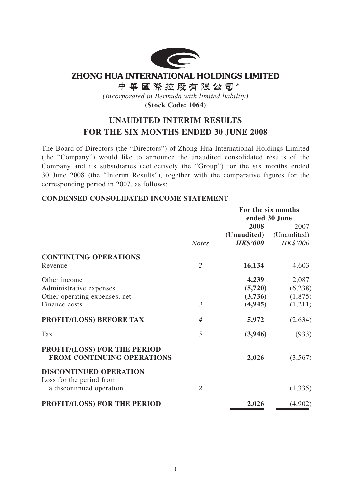

**ZHONG HUA INTERNATIONAL HOLDINGS LIMITED** 

中華國際控股有限公司\*

*(Incorporated in Bermuda with limited liability)*

**(Stock Code: 1064)**

# **UNAUDITED INTERIM RESULTS FOR THE SIX MONTHS ENDED 30 JUNE 2008**

The Board of Directors (the "Directors") of Zhong Hua International Holdings Limited (the "Company") would like to announce the unaudited consolidated results of the Company and its subsidiaries (collectively the "Group") for the six months ended 30 June 2008 (the "Interim Results"), together with the comparative figures for the corresponding period in 2007, as follows:

### **CONDENSED CONSOLIDATED INCOME STATEMENT**

|                                                                          |                | For the six months |               |  |
|--------------------------------------------------------------------------|----------------|--------------------|---------------|--|
|                                                                          |                |                    | ended 30 June |  |
|                                                                          |                | 2008               | 2007          |  |
|                                                                          |                | (Unaudited)        | (Unaudited)   |  |
|                                                                          | <b>Notes</b>   | <b>HK\$'000</b>    | HK\$'000      |  |
| <b>CONTINUING OPERATIONS</b>                                             |                |                    |               |  |
| Revenue                                                                  | $\overline{2}$ | 16,134             | 4,603         |  |
| Other income                                                             |                | 4,239              | 2,087         |  |
| Administrative expenses                                                  |                | (5,720)            | (6,238)       |  |
| Other operating expenses, net                                            |                | (3,736)            | (1,875)       |  |
| Finance costs                                                            | $\mathfrak{Z}$ | (4, 945)           | (1,211)       |  |
| PROFIT/(LOSS) BEFORE TAX                                                 | $\overline{4}$ | 5,972              | (2,634)       |  |
| Tax                                                                      | 5              | (3, 946)           | (933)         |  |
| <b>PROFIT/(LOSS) FOR THE PERIOD</b><br><b>FROM CONTINUING OPERATIONS</b> |                | 2,026              | (3,567)       |  |
| <b>DISCONTINUED OPERATION</b>                                            |                |                    |               |  |
| Loss for the period from<br>a discontinued operation                     | $\overline{2}$ |                    | (1, 335)      |  |
| PROFIT/(LOSS) FOR THE PERIOD                                             |                | 2,026              | (4,902)       |  |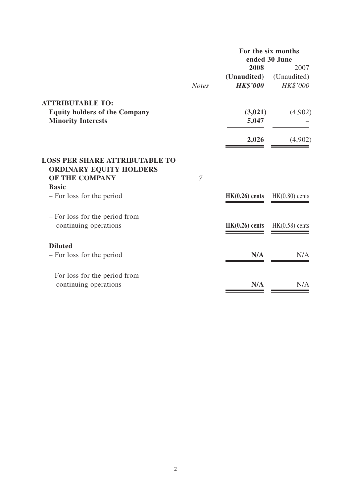|                                                                                           |                | For the six months<br>ended 30 June |                  |
|-------------------------------------------------------------------------------------------|----------------|-------------------------------------|------------------|
|                                                                                           |                | 2008                                | 2007             |
|                                                                                           |                | (Unaudited)                         | (Unaudited)      |
|                                                                                           | <b>Notes</b>   | <b>HK\$'000</b>                     | HK\$'000         |
| <b>ATTRIBUTABLE TO:</b>                                                                   |                |                                     |                  |
| <b>Equity holders of the Company</b>                                                      |                | (3,021)                             | (4,902)          |
| <b>Minority Interests</b>                                                                 |                | 5,047                               |                  |
|                                                                                           |                | 2,026                               | (4,902)          |
| <b>LOSS PER SHARE ATTRIBUTABLE TO</b><br><b>ORDINARY EQUITY HOLDERS</b><br>OF THE COMPANY | $\overline{7}$ |                                     |                  |
| <b>Basic</b>                                                                              |                |                                     |                  |
|                                                                                           |                |                                     |                  |
| - For loss for the period                                                                 |                | $HK(0.26)$ cents                    | $HK(0.80)$ cents |
| - For loss for the period from                                                            |                |                                     |                  |
| continuing operations                                                                     |                | $HK(0.26)$ cents                    | $HK(0.58)$ cents |
| <b>Diluted</b>                                                                            |                |                                     |                  |
| - For loss for the period                                                                 |                | N/A                                 | N/A              |
|                                                                                           |                |                                     |                  |
| - For loss for the period from                                                            |                |                                     |                  |
| continuing operations                                                                     |                | N/A                                 | N/A              |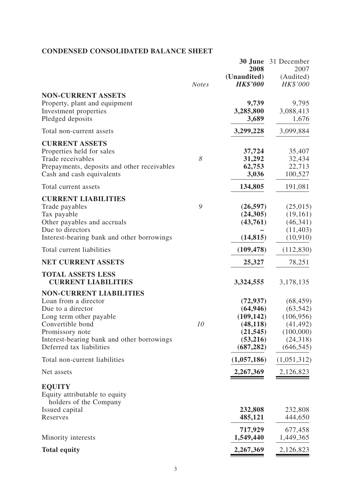# **CONDENSED CONSOLIDATED BALANCE SHEET**

|                                                                                                                                                                                                                         | <b>Notes</b> | 2008<br>(Unaudited)<br><b>HK\$'000</b>                                                   | <b>30 June</b> 31 December<br>2007<br>(Audited)<br>HK\$'000                              |
|-------------------------------------------------------------------------------------------------------------------------------------------------------------------------------------------------------------------------|--------------|------------------------------------------------------------------------------------------|------------------------------------------------------------------------------------------|
| <b>NON-CURRENT ASSETS</b><br>Property, plant and equipment<br>Investment properties<br>Pledged deposits                                                                                                                 |              | 9,739<br>3,285,800<br>3,689                                                              | 9,795<br>3,088,413<br>1,676                                                              |
| Total non-current assets                                                                                                                                                                                                |              | 3,299,228                                                                                | 3,099,884                                                                                |
| <b>CURRENT ASSETS</b><br>Properties held for sales<br>Trade receivables<br>Prepayments, deposits and other receivables<br>Cash and cash equivalents                                                                     | 8            | 37,724<br>31,292<br>62,753<br>3,036                                                      | 35,407<br>32,434<br>22,713<br>100,527                                                    |
| Total current assets                                                                                                                                                                                                    |              | 134,805                                                                                  | 191,081                                                                                  |
| <b>CURRENT LIABILITIES</b><br>Trade payables<br>Tax payable<br>Other payables and accruals<br>Due to directors<br>Interest-bearing bank and other borrowings                                                            | 9            | (26, 597)<br>(24,305)<br>(43,761)<br>(14, 815)                                           | (25,015)<br>(19,161)<br>(46, 341)<br>(11, 403)<br>(10, 910)                              |
| Total current liabilities                                                                                                                                                                                               |              | (109, 478)                                                                               | (112, 830)                                                                               |
| <b>NET CURRENT ASSETS</b>                                                                                                                                                                                               |              | 25,327                                                                                   | 78,251                                                                                   |
| <b>TOTAL ASSETS LESS</b><br><b>CURRENT LIABILITIES</b>                                                                                                                                                                  |              | 3,324,555                                                                                | 3,178,135                                                                                |
| <b>NON-CURRENT LIABILITIES</b><br>Loan from a director<br>Due to a director<br>Long term other payable<br>Convertible bond<br>Promissory note<br>Interest-bearing bank and other borrowings<br>Deferred tax liabilities | 10           | (72, 937)<br>(64, 946)<br>(109, 142)<br>(48, 118)<br>(21, 545)<br>(53,216)<br>(687, 282) | (68, 459)<br>(63, 542)<br>(106, 956)<br>(41, 492)<br>(100,000)<br>(24,318)<br>(646, 545) |
| Total non-current liabilities                                                                                                                                                                                           |              | (1,057,186)                                                                              | (1,051,312)                                                                              |
| Net assets                                                                                                                                                                                                              |              | 2,267,369                                                                                | 2,126,823                                                                                |
| <b>EQUITY</b><br>Equity attributable to equity<br>holders of the Company                                                                                                                                                |              |                                                                                          |                                                                                          |
| Issued capital<br>Reserves                                                                                                                                                                                              |              | 232,808<br>485,121                                                                       | 232,808<br>444,650                                                                       |
| Minority interests                                                                                                                                                                                                      |              | 717,929<br>1,549,440                                                                     | 677,458<br>1,449,365                                                                     |
| <b>Total equity</b>                                                                                                                                                                                                     |              | 2,267,369                                                                                | 2,126,823                                                                                |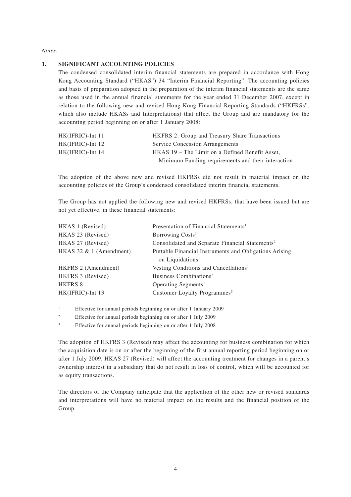*Notes:*

#### **1. SIGNIFICANT ACCOUNTING POLICIES**

The condensed consolidated interim financial statements are prepared in accordance with Hong Kong Accounting Standard ("HKAS") 34 "Interim Financial Reporting". The accounting policies and basis of preparation adopted in the preparation of the interim financial statements are the same as those used in the annual financial statements for the year ended 31 December 2007, except in relation to the following new and revised Hong Kong Financial Reporting Standards ("HKFRSs", which also include HKASs and Interpretations) that affect the Group and are mandatory for the accounting period beginning on or after 1 January 2008:

| $HK(IFRIC)$ -Int 11 | <b>HKFRS</b> 2: Group and Treasury Share Transactions |
|---------------------|-------------------------------------------------------|
| $HK(IFRIC)$ -Int 12 | <b>Service Concession Arrangements</b>                |
| $HK(IFRIC)$ -Int 14 | HKAS 19 – The Limit on a Defined Benefit Asset,       |
|                     | Minimum Funding requirements and their interaction    |

The adoption of the above new and revised HKFRSs did not result in material impact on the accounting policies of the Group's condensed consolidated interim financial statements.

The Group has not applied the following new and revised HKFRSs, that have been issued but are not yet effective, in these financial statements:

| HKAS 1 (Revised)          | Presentation of Financial Statements <sup>1</sup>           |
|---------------------------|-------------------------------------------------------------|
| HKAS 23 (Revised)         | Borrowing Costs <sup>1</sup>                                |
| HKAS 27 (Revised)         | Consolidated and Separate Financial Statements <sup>2</sup> |
| HKAS 32 $& 1$ (Amendment) | Puttable Financial Instruments and Obligations Arising      |
|                           | on Liquidations <sup>1</sup>                                |
| HKFRS 2 (Amendment)       | Vesting Conditions and Cancellations <sup>1</sup>           |
| HKFRS 3 (Revised)         | Business Combinations <sup>2</sup>                          |
| <b>HKFRS 8</b>            | Operating Segments <sup>1</sup>                             |
| HK(IFRIC)-Int 13          | Customer Loyalty Programmes <sup>3</sup>                    |
|                           |                                                             |

<sup>1</sup> Effective for annual periods beginning on or after 1 January 2009

<sup>2</sup> Effective for annual periods beginning on or after 1 July 2009

<sup>3</sup> Effective for annual periods beginning on or after 1 July 2008

The adoption of HKFRS 3 (Revised) may affect the accounting for business combination for which the acquisition date is on or after the beginning of the first annual reporting period beginning on or after 1 July 2009. HKAS 27 (Revised) will affect the accounting treatment for changes in a parent's ownership interest in a subsidiary that do not result in loss of control, which will be accounted for as equity transactions.

The directors of the Company anticipate that the application of the other new or revised standards and interpretations will have no material impact on the results and the financial position of the Group.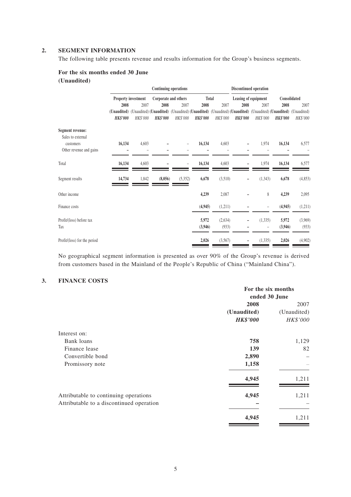#### **2. SEGMENT INFORMATION**

The following table presents revenue and results information for the Group's business segments.

#### **For the six months ended 30 June (Unaudited)**

|                              |                 |                     |                 | <b>Continuing operations</b> |                 |          |                 | Discontinued operation                                                                                                         |                 |                         |
|------------------------------|-----------------|---------------------|-----------------|------------------------------|-----------------|----------|-----------------|--------------------------------------------------------------------------------------------------------------------------------|-----------------|-------------------------|
|                              |                 | Property investment |                 | Corporate and others         |                 | Total    |                 | Leasing of equipment                                                                                                           |                 | Consolidated            |
|                              | 2008            | 2007                | 2008            | 2007                         | 2008            | 2007     | 2008            | 2007                                                                                                                           | 2008            | 2007                    |
|                              | <b>HK\$'000</b> | <b>HK\$'000</b>     | <b>HK\$'000</b> | <b>HK\$'000</b>              | <b>HK\$'000</b> | HK\$'000 | <b>HK\$'000</b> | (Unaudited) (Unaudited) (Unaudited) (Unaudited) (Unaudited) (Unaudited) (Unaudited) (Unaudited) (Unaudited)<br><b>HK\$'000</b> | <b>HK\$'000</b> | (Unaudited)<br>HK\$'000 |
| Segment revenue:             |                 |                     |                 |                              |                 |          |                 |                                                                                                                                |                 |                         |
| Sales to external            |                 |                     |                 |                              |                 |          |                 |                                                                                                                                |                 |                         |
| customers                    | 16,134          | 4,603               |                 |                              | 16,134          | 4,603    |                 | 1,974                                                                                                                          | 16,134          | 6,577                   |
| Other revenue and gains      |                 |                     |                 |                              |                 |          |                 |                                                                                                                                |                 |                         |
| Total                        | 16,134          | 4,603               |                 | ۳                            | 16,134          | 4,603    |                 | 1,974                                                                                                                          | 16,134          | 6,577                   |
| Segment results              | 14,734          | 1,842               | (8,056)         | (5,352)                      | 6,678           | (3,510)  | -               | (1, 343)                                                                                                                       | 6,678           | (4, 853)                |
| Other income                 |                 |                     |                 |                              | 4,239           | 2,087    |                 | 8                                                                                                                              | 4,239           | 2,095                   |
| Finance costs                |                 |                     |                 |                              | (4,945)         | (1,211)  |                 |                                                                                                                                | (4, 945)        | (1,211)                 |
| Profit/(loss) before tax     |                 |                     |                 |                              | 5,972           | (2,634)  |                 | (1, 335)                                                                                                                       | 5,972           | (3,969)                 |
| Tax                          |                 |                     |                 |                              | (3,946)         | (933)    |                 | -                                                                                                                              | (3,946)         | (933)                   |
| Profit/(loss) for the period |                 |                     |                 |                              | 2,026           | (3,567)  |                 | (1, 335)                                                                                                                       | 2,026           | (4,902)                 |

No geographical segment information is presented as over 90% of the Group's revenue is derived from customers based in the Mainland of the People's Republic of China ("Mainland China").

#### **3. FINANCE COSTS**

|                                          | For the six months |             |  |
|------------------------------------------|--------------------|-------------|--|
|                                          | ended 30 June      |             |  |
|                                          | 2008               | 2007        |  |
|                                          | (Unaudited)        | (Unaudited) |  |
|                                          | <b>HK\$'000</b>    | HK\$'000    |  |
| Interest on:                             |                    |             |  |
| Bank loans                               | 758                | 1,129       |  |
| Finance lease                            | 139                | 82          |  |
| Convertible bond                         | 2,890              |             |  |
| Promissory note                          | 1,158              |             |  |
|                                          | 4,945              | 1,211       |  |
| Attributable to continuing operations    | 4,945              | 1,211       |  |
| Attributable to a discontinued operation |                    |             |  |
|                                          | 4,945              | 1,211       |  |
|                                          |                    |             |  |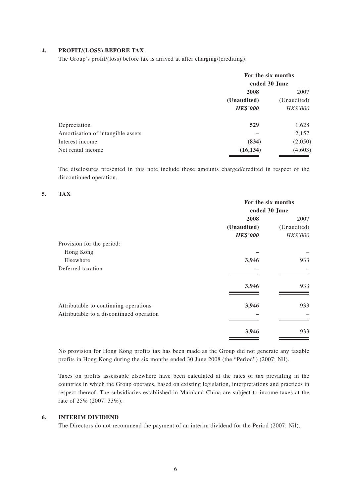#### **4. PROFIT/(LOSS) BEFORE TAX**

The Group's profit/(loss) before tax is arrived at after charging/(crediting):

|                                   | For the six months<br>ended 30 June |             |  |
|-----------------------------------|-------------------------------------|-------------|--|
|                                   | 2008                                | 2007        |  |
|                                   | (Unaudited)                         | (Unaudited) |  |
|                                   | <b>HK\$'000</b>                     | HK\$'000    |  |
| Depreciation                      | 529                                 | 1,628       |  |
| Amortisation of intangible assets |                                     | 2,157       |  |
| Interest income                   | (834)                               | (2,050)     |  |
| Net rental income                 | (16, 134)                           | (4,603)     |  |
|                                   |                                     |             |  |

The disclosures presented in this note include those amounts charged/credited in respect of the discontinued operation.

#### **5. TAX**

|                                                                                   | For the six months |             |  |
|-----------------------------------------------------------------------------------|--------------------|-------------|--|
|                                                                                   | ended 30 June      |             |  |
|                                                                                   | 2008               | 2007        |  |
|                                                                                   | (Unaudited)        | (Unaudited) |  |
|                                                                                   | <b>HK\$'000</b>    | HK\$'000    |  |
| Provision for the period:                                                         |                    |             |  |
| Hong Kong                                                                         |                    |             |  |
| Elsewhere                                                                         | 3,946              | 933         |  |
| Deferred taxation                                                                 |                    |             |  |
|                                                                                   | 3,946              | 933         |  |
| Attributable to continuing operations<br>Attributable to a discontinued operation | 3,946              | 933         |  |
|                                                                                   | 3,946              | 933         |  |

No provision for Hong Kong profits tax has been made as the Group did not generate any taxable profits in Hong Kong during the six months ended 30 June 2008 (the "Period") (2007: Nil).

Taxes on profits assessable elsewhere have been calculated at the rates of tax prevailing in the countries in which the Group operates, based on existing legislation, interpretations and practices in respect thereof. The subsidiaries established in Mainland China are subject to income taxes at the rate of 25% (2007: 33%).

#### **6. INTERIM DIVIDEND**

The Directors do not recommend the payment of an interim dividend for the Period (2007: Nil).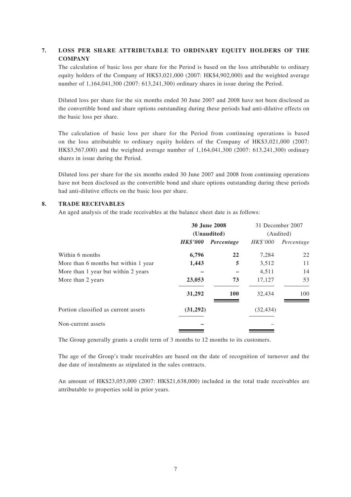### **7. LOSS PER SHARE ATTRIBUTABLE TO ORDINARY EQUITY HOLDERS OF THE COMPANY**

The calculation of basic loss per share for the Period is based on the loss attributable to ordinary equity holders of the Company of HK\$3,021,000 (2007: HK\$4,902,000) and the weighted average number of 1,164,041,300 (2007: 613,241,300) ordinary shares in issue during the Period.

Diluted loss per share for the six months ended 30 June 2007 and 2008 have not been disclosed as the convertible bond and share options outstanding during these periods had anti-dilutive effects on the basic loss per share.

The calculation of basic loss per share for the Period from continuing operations is based on the loss attributable to ordinary equity holders of the Company of HK\$3,021,000 (2007: HK\$3,567,000) and the weighted average number of 1,164,041,300 (2007: 613,241,300) ordinary shares in issue during the Period.

Diluted loss per share for the six months ended 30 June 2007 and 2008 from continuing operations have not been disclosed as the convertible bond and share options outstanding during these periods had anti-dilutive effects on the basic loss per share.

#### **8. TRADE RECEIVABLES**

An aged analysis of the trade receivables at the balance sheet date is as follows:

|                                      | <b>30 June 2008</b> |             | 31 December 2007 |            |
|--------------------------------------|---------------------|-------------|------------------|------------|
|                                      |                     | (Unaudited) | (Audited)        |            |
|                                      | <b>HK\$'000</b>     | Percentage  | <i>HK\$'000</i>  | Percentage |
| Within 6 months                      | 6,796               | 22          | 7,284            | 22         |
| More than 6 months but within 1 year | 1,443               | 5           | 3,512            | 11         |
| More than 1 year but within 2 years  |                     |             | 4,511            | 14         |
| More than 2 years                    | 23,053              | 73          | 17,127           | 53         |
|                                      | 31,292              | <b>100</b>  | 32,434           | 100        |
| Portion classified as current assets | (31,292)            |             | (32, 434)        |            |
| Non-current assets                   |                     |             |                  |            |

The Group generally grants a credit term of 3 months to 12 months to its customers.

The age of the Group's trade receivables are based on the date of recognition of turnover and the due date of instalments as stipulated in the sales contracts.

An amount of HK\$23,053,000 (2007: HK\$21,638,000) included in the total trade receivables are attributable to properties sold in prior years.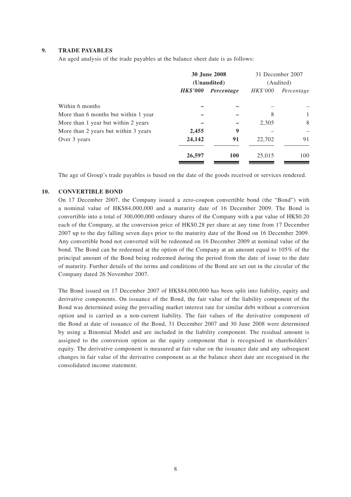#### **9. TRADE PAYABLES**

An aged analysis of the trade payables at the balance sheet date is as follows:

|                                      | <b>30 June 2008</b><br>(Unaudited) |            |          | 31 December 2007<br>(Audited) |
|--------------------------------------|------------------------------------|------------|----------|-------------------------------|
|                                      | <b>HK\$'000</b>                    | Percentage | HK\$'000 | Percentage                    |
| Within 6 months                      |                                    |            |          |                               |
| More than 6 months but within 1 year |                                    |            | 8        | 1                             |
| More than 1 year but within 2 years  |                                    |            | 2,305    | 8                             |
| More than 2 years but within 3 years | 2,455                              | 9          |          |                               |
| Over 3 years                         | 24,142                             | 91         | 22,702   | 91                            |
|                                      | 26,597                             | <b>100</b> | 25,015   | 100                           |

The age of Group's trade payables is based on the date of the goods received or services rendered.

#### **10. CONVERTIBLE BOND**

On 17 December 2007, the Company issued a zero-coupon convertible bond (the "Bond") with a nominal value of HK\$84,000,000 and a maturity date of 16 December 2009. The Bond is convertible into a total of 300,000,000 ordinary shares of the Company with a par value of HK\$0.20 each of the Company, at the conversion price of HK\$0.28 per share at any time from 17 December 2007 up to the day falling seven days prior to the maturity date of the Bond on 16 December 2009. Any convertible bond not converted will be redeemed on 16 December 2009 at nominal value of the bond. The Bond can be redeemed at the option of the Company at an amount equal to 105% of the principal amount of the Bond being redeemed during the period from the date of issue to the date of maturity. Further details of the terms and conditions of the Bond are set out in the circular of the Company dated 26 November 2007.

The Bond issued on 17 December 2007 of HK\$84,000,000 has been split into liability, equity and derivative components. On issuance of the Bond, the fair value of the liability component of the Bond was determined using the prevailing market interest rate for similar debt without a conversion option and is carried as a non-current liability. The fair values of the derivative component of the Bond at date of issuance of the Bond, 31 December 2007 and 30 June 2008 were determined by using a Binomial Model and are included in the liability component. The residual amount is assigned to the conversion option as the equity component that is recognised in shareholders' equity. The derivative component is measured at fair value on the issuance date and any subsequent changes in fair value of the derivative component as at the balance sheet date are recognised in the consolidated income statement.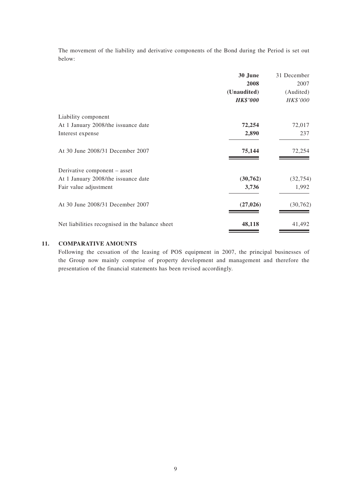The movement of the liability and derivative components of the Bond during the Period is set out below:

|                                                 | 30 June         | 31 December |
|-------------------------------------------------|-----------------|-------------|
|                                                 | 2008            | 2007        |
|                                                 | (Unaudited)     | (Audited)   |
|                                                 | <b>HK\$'000</b> | HK\$'000    |
| Liability component                             |                 |             |
| At 1 January 2008/the issuance date             | 72,254          | 72,017      |
| Interest expense                                | 2,890           | 237         |
| At 30 June 2008/31 December 2007                | 75,144          | 72,254      |
| Derivative component - asset                    |                 |             |
| At 1 January 2008/the issuance date             | (30, 762)       | (32, 754)   |
| Fair value adjustment                           | 3,736           | 1,992       |
| At 30 June 2008/31 December 2007                | (27, 026)       | (30, 762)   |
| Net liabilities recognised in the balance sheet | 48,118          | 41,492      |

#### **11. COMPARATIVE AMOUNTS**

Following the cessation of the leasing of POS equipment in 2007, the principal businesses of the Group now mainly comprise of property development and management and therefore the presentation of the financial statements has been revised accordingly.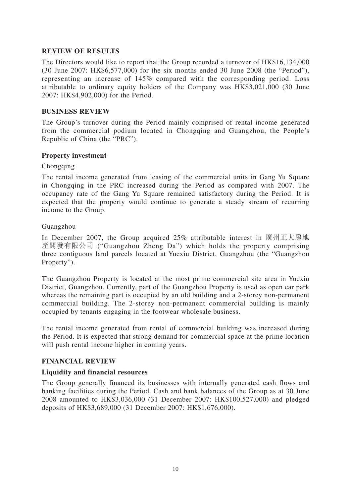# **REVIEW OF RESULTS**

The Directors would like to report that the Group recorded a turnover of HK\$16,134,000 (30 June 2007: HK\$6,577,000) for the six months ended 30 June 2008 (the "Period"), representing an increase of 145% compared with the corresponding period. Loss attributable to ordinary equity holders of the Company was HK\$3,021,000 (30 June 2007: HK\$4,902,000) for the Period.

### **BUSINESS REVIEW**

The Group's turnover during the Period mainly comprised of rental income generated from the commercial podium located in Chongqing and Guangzhou, the People's Republic of China (the "PRC").

### **Property investment**

### Chongqing

The rental income generated from leasing of the commercial units in Gang Yu Square in Chongqing in the PRC increased during the Period as compared with 2007. The occupancy rate of the Gang Yu Square remained satisfactory during the Period. It is expected that the property would continue to generate a steady stream of recurring income to the Group.

### Guangzhou

In December 2007, the Group acquired 25% attributable interest in 廣州正大房地 產開發有限公司 ("Guangzhou Zheng Da") which holds the property comprising three contiguous land parcels located at Yuexiu District, Guangzhou (the "Guangzhou Property").

The Guangzhou Property is located at the most prime commercial site area in Yuexiu District, Guangzhou. Currently, part of the Guangzhou Property is used as open car park whereas the remaining part is occupied by an old building and a 2-storey non-permanent commercial building. The 2-storey non-permanent commercial building is mainly occupied by tenants engaging in the footwear wholesale business.

The rental income generated from rental of commercial building was increased during the Period. It is expected that strong demand for commercial space at the prime location will push rental income higher in coming years.

# **FINANCIAL REVIEW**

### **Liquidity and financial resources**

The Group generally financed its businesses with internally generated cash flows and banking facilities during the Period. Cash and bank balances of the Group as at 30 June 2008 amounted to HK\$3,036,000 (31 December 2007: HK\$100,527,000) and pledged deposits of HK\$3,689,000 (31 December 2007: HK\$1,676,000).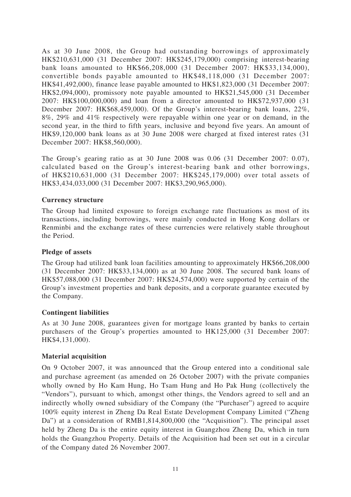As at 30 June 2008, the Group had outstanding borrowings of approximately HK\$210,631,000 (31 December 2007: HK\$245,179,000) comprising interest-bearing bank loans amounted to HK\$66,208,000 (31 December 2007: HK\$33,134,000), convertible bonds payable amounted to HK\$48,118,000 (31 December 2007: HK\$41,492,000), finance lease payable amounted to HK\$1,823,000 (31 December 2007: HK\$2,094,000), promissory note payable amounted to HK\$21,545,000 (31 December 2007: HK\$100,000,000) and loan from a director amounted to HK\$72,937,000 (31 December 2007: HK\$68,459,000). Of the Group's interest-bearing bank loans, 22%, 8%, 29% and 41% respectively were repayable within one year or on demand, in the second year, in the third to fifth years, inclusive and beyond five years. An amount of HK\$9,120,000 bank loans as at 30 June 2008 were charged at fixed interest rates (31 December 2007: HK\$8,560,000).

The Group's gearing ratio as at 30 June 2008 was 0.06 (31 December 2007: 0.07), calculated based on the Group's interest-bearing bank and other borrowings, of HK\$210,631,000 (31 December 2007: HK\$245,179,000) over total assets of HK\$3,434,033,000 (31 December 2007: HK\$3,290,965,000).

### **Currency structure**

The Group had limited exposure to foreign exchange rate fluctuations as most of its transactions, including borrowings, were mainly conducted in Hong Kong dollars or Renminbi and the exchange rates of these currencies were relatively stable throughout the Period.

### **Pledge of assets**

The Group had utilized bank loan facilities amounting to approximately HK\$66,208,000 (31 December 2007: HK\$33,134,000) as at 30 June 2008. The secured bank loans of HK\$57,088,000 (31 December 2007: HK\$24,574,000) were supported by certain of the Group's investment properties and bank deposits, and a corporate guarantee executed by the Company.

### **Contingent liabilities**

As at 30 June 2008, guarantees given for mortgage loans granted by banks to certain purchasers of the Group's properties amounted to HK125,000 (31 December 2007: HK\$4,131,000).

### **Material acquisition**

On 9 October 2007, it was announced that the Group entered into a conditional sale and purchase agreement (as amended on 26 October 2007) with the private companies wholly owned by Ho Kam Hung, Ho Tsam Hung and Ho Pak Hung (collectively the "Vendors"), pursuant to which, amongst other things, the Vendors agreed to sell and an indirectly wholly owned subsidiary of the Company (the "Purchaser") agreed to acquire 100% equity interest in Zheng Da Real Estate Development Company Limited ("Zheng Da") at a consideration of RMB1,814,800,000 (the "Acquisition"). The principal asset held by Zheng Da is the entire equity interest in Guangzhou Zheng Da, which in turn holds the Guangzhou Property. Details of the Acquisition had been set out in a circular of the Company dated 26 November 2007.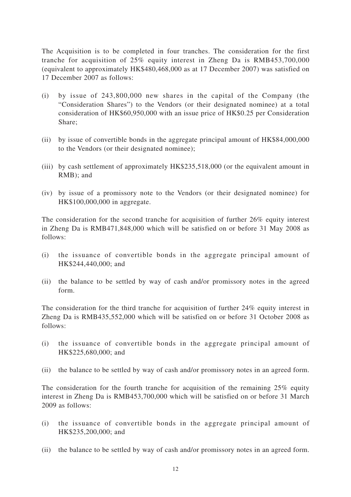The Acquisition is to be completed in four tranches. The consideration for the first tranche for acquisition of 25% equity interest in Zheng Da is RMB453,700,000 (equivalent to approximately HK\$480,468,000 as at 17 December 2007) was satisfied on 17 December 2007 as follows:

- (i) by issue of 243,800,000 new shares in the capital of the Company (the "Consideration Shares") to the Vendors (or their designated nominee) at a total consideration of HK\$60,950,000 with an issue price of HK\$0.25 per Consideration Share;
- (ii) by issue of convertible bonds in the aggregate principal amount of HK\$84,000,000 to the Vendors (or their designated nominee);
- (iii) by cash settlement of approximately HK\$235,518,000 (or the equivalent amount in RMB); and
- (iv) by issue of a promissory note to the Vendors (or their designated nominee) for HK\$100,000,000 in aggregate.

The consideration for the second tranche for acquisition of further 26% equity interest in Zheng Da is RMB471,848,000 which will be satisfied on or before 31 May 2008 as follows:

- (i) the issuance of convertible bonds in the aggregate principal amount of HK\$244,440,000; and
- (ii) the balance to be settled by way of cash and/or promissory notes in the agreed form.

The consideration for the third tranche for acquisition of further 24% equity interest in Zheng Da is RMB435,552,000 which will be satisfied on or before 31 October 2008 as follows:

- (i) the issuance of convertible bonds in the aggregate principal amount of HK\$225,680,000; and
- (ii) the balance to be settled by way of cash and/or promissory notes in an agreed form.

The consideration for the fourth tranche for acquisition of the remaining 25% equity interest in Zheng Da is RMB453,700,000 which will be satisfied on or before 31 March 2009 as follows:

- (i) the issuance of convertible bonds in the aggregate principal amount of HK\$235,200,000; and
- (ii) the balance to be settled by way of cash and/or promissory notes in an agreed form.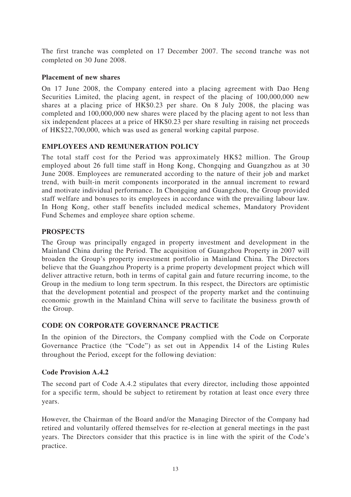The first tranche was completed on 17 December 2007. The second tranche was not completed on 30 June 2008.

### **Placement of new shares**

On 17 June 2008, the Company entered into a placing agreement with Dao Heng Securities Limited, the placing agent, in respect of the placing of 100,000,000 new shares at a placing price of HK\$0.23 per share. On 8 July 2008, the placing was completed and 100,000,000 new shares were placed by the placing agent to not less than six independent placees at a price of HK\$0.23 per share resulting in raising net proceeds of HK\$22,700,000, which was used as general working capital purpose.

# **EMPLOYEES AND REMUNERATION POLICY**

The total staff cost for the Period was approximately HK\$2 million. The Group employed about 26 full time staff in Hong Kong, Chongqing and Guangzhou as at 30 June 2008. Employees are remunerated according to the nature of their job and market trend, with built-in merit components incorporated in the annual increment to reward and motivate individual performance. In Chongqing and Guangzhou, the Group provided staff welfare and bonuses to its employees in accordance with the prevailing labour law. In Hong Kong, other staff benefits included medical schemes, Mandatory Provident Fund Schemes and employee share option scheme.

# **PROSPECTS**

The Group was principally engaged in property investment and development in the Mainland China during the Period. The acquisition of Guangzhou Property in 2007 will broaden the Group's property investment portfolio in Mainland China. The Directors believe that the Guangzhou Property is a prime property development project which will deliver attractive return, both in terms of capital gain and future recurring income, to the Group in the medium to long term spectrum. In this respect, the Directors are optimistic that the development potential and prospect of the property market and the continuing economic growth in the Mainland China will serve to facilitate the business growth of the Group.

# **CODE ON CORPORATE GOVERNANCE PRACTICE**

In the opinion of the Directors, the Company complied with the Code on Corporate Governance Practice (the "Code") as set out in Appendix 14 of the Listing Rules throughout the Period, except for the following deviation:

### **Code Provision A.4.2**

The second part of Code A.4.2 stipulates that every director, including those appointed for a specific term, should be subject to retirement by rotation at least once every three years.

However, the Chairman of the Board and/or the Managing Director of the Company had retired and voluntarily offered themselves for re-election at general meetings in the past years. The Directors consider that this practice is in line with the spirit of the Code's practice.